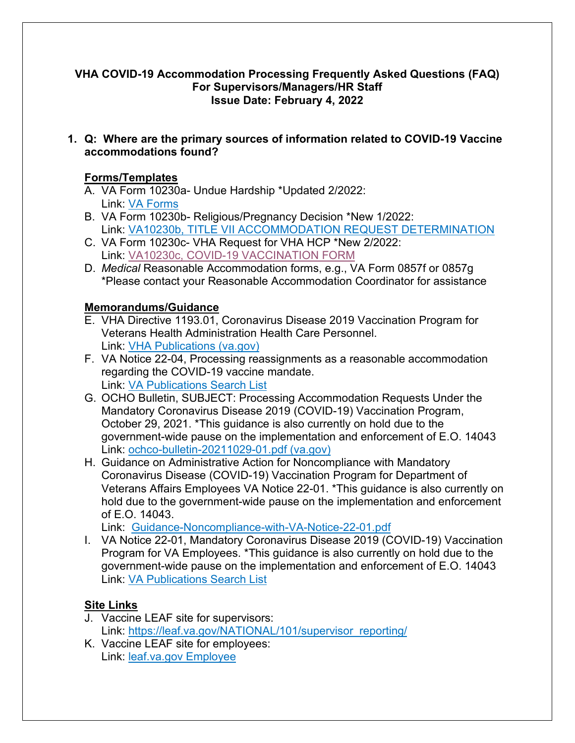## **VHA COVID-19 Accommodation Processing Frequently Asked Questions (FAQ) For Supervisors/Managers/HR Staff Issue Date: February 4, 2022**

**1. Q: Where are the primary sources of information related to COVID-19 Vaccine accommodations found?** 

## **Forms/Templates**

- A. VA Form 10230a- Undue Hardship \*Updated 2/2022: Link: [VA Forms](https://vaww.va.gov/vaforms/)
- B. VA Form 10230b- Religious/Pregnancy Decision \*New 1/2022: Link: [VA10230b, TITLE VII ACCOMMODATION REQUEST DETERMINATION](https://vaww.va.gov/vaforms/va/pdf/VA10230b.pdf)
- C. VA Form 10230c- VHA Request for VHA HCP \*New 2/2022: Link: [VA10230c, COVID-19 VACCINATION FORM](https://vaww.va.gov/vaforms/va/pdf/VA10230c.pdf)
- D. *Medical* Reasonable Accommodation forms, e.g., VA Form 0857f or 0857g \*Please contact your Reasonable Accommodation Coordinator for assistance

## **Memorandums/Guidance**

- E. VHA Directive 1193.01, Coronavirus Disease 2019 Vaccination Program for Veterans Health Administration Health Care Personnel. Link: [VHA Publications \(va.gov\)](https://www.va.gov/vhapublications/)
- F. VA Notice 22-04, Processing reassignments as a reasonable accommodation regarding the COVID-19 vaccine mandate. Link: [VA Publications Search List](https://vaww.va.gov/vapubs/search_action.cfm?dType=5)
- G. OCHO Bulletin, SUBJECT: Processing Accommodation Requests Under the Mandatory Coronavirus Disease 2019 (COVID-19) Vaccination Program, October 29, 2021. \*This guidance is also currently on hold due to the government-wide pause on the implementation and enforcement of E.O. 14043 Link: [ochco-bulletin-20211029-01.pdf \(va.gov\)](https://vaww.va.gov/OHRM/HRLibrary/Bulletins/2021/ochco-bulletin-20211029-01.pdf)
- H. Guidance on Administrative Action for Noncompliance with Mandatory Coronavirus Disease (COVID-19) Vaccination Program for Department of Veterans Affairs Employees VA Notice 22-01. \*This guidance is also currently on hold due to the government-wide pause on the implementation and enforcement of E.O. 14043.

Link: [Guidance-Noncompliance-with-VA-Notice-22-01.pdf](https://vaww.va.gov/OHRM/EmployeeRelations/COVID-19/Guidance-Noncompliance-with-VA-Notice-22-01.pdf)

I. VA Notice 22-01, Mandatory Coronavirus Disease 2019 (COVID-19) Vaccination Program for VA Employees. \*This guidance is also currently on hold due to the government-wide pause on the implementation and enforcement of E.O. 14043 Link: [VA Publications Search List](https://vaww.va.gov/vapubs/search_action.cfm?dType=5) 

# **Site Links**

- J. Vaccine LEAF site for supervisors: Link: [https://leaf.va.gov/NATIONAL/101/supervisor\\_reporting/](https://leaf.va.gov/NATIONAL/101/supervisor_reporting/)
- K. Vaccine LEAF site for employees: Link: [leaf.va.gov Employee](https://leaf.va.gov/NATIONAL/101/vaccination_data_reporting/report.php?a=vaccine_summary)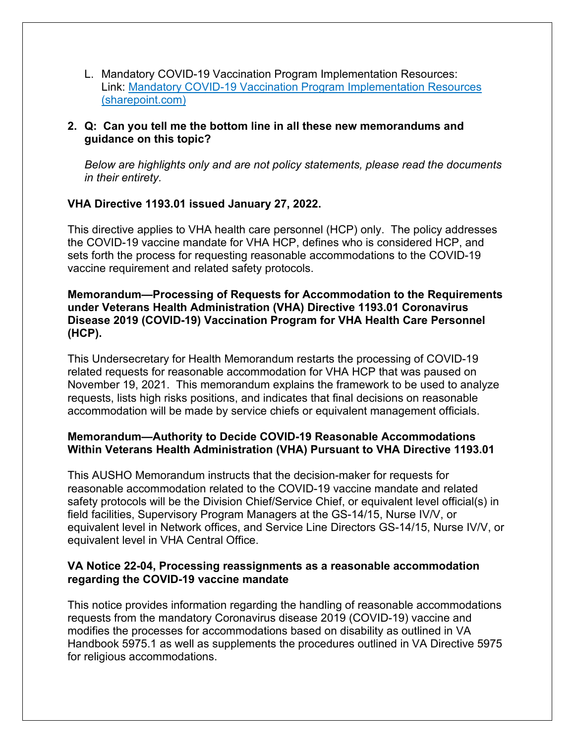L. Mandatory COVID-19 Vaccination Program Implementation Resources: Link: [Mandatory COVID-19 Vaccination Program Implementation Resources](https://dvagov.sharepoint.com/sites/VACOVHADUSHOM/HOC/JOC/vaccine/SitePages/Resources.aspx)  [\(sharepoint.com\)](https://dvagov.sharepoint.com/sites/VACOVHADUSHOM/HOC/JOC/vaccine/SitePages/Resources.aspx)

### **2. Q: Can you tell me the bottom line in all these new memorandums and guidance on this topic?**

*Below are highlights only and are not policy statements, please read the documents in their entirety.*

## **VHA Directive 1193.01 issued January 27, 2022.**

This directive applies to VHA health care personnel (HCP) only. The policy addresses the COVID-19 vaccine mandate for VHA HCP, defines who is considered HCP, and sets forth the process for requesting reasonable accommodations to the COVID-19 vaccine requirement and related safety protocols.

#### **Memorandum—Processing of Requests for Accommodation to the Requirements under Veterans Health Administration (VHA) Directive 1193.01 Coronavirus Disease 2019 (COVID-19) Vaccination Program for VHA Health Care Personnel (HCP).**

This Undersecretary for Health Memorandum restarts the processing of COVID-19 related requests for reasonable accommodation for VHA HCP that was paused on November 19, 2021. This memorandum explains the framework to be used to analyze requests, lists high risks positions, and indicates that final decisions on reasonable accommodation will be made by service chiefs or equivalent management officials.

## **Memorandum—Authority to Decide COVID-19 Reasonable Accommodations Within Veterans Health Administration (VHA) Pursuant to VHA Directive 1193.01**

This AUSHO Memorandum instructs that the decision-maker for requests for reasonable accommodation related to the COVID-19 vaccine mandate and related safety protocols will be the Division Chief/Service Chief, or equivalent level official(s) in field facilities, Supervisory Program Managers at the GS-14/15, Nurse IV/V, or equivalent level in Network offices, and Service Line Directors GS-14/15, Nurse IV/V, or equivalent level in VHA Central Office.

## **VA Notice 22-04, Processing reassignments as a reasonable accommodation regarding the COVID-19 vaccine mandate**

This notice provides information regarding the handling of reasonable accommodations requests from the mandatory Coronavirus disease 2019 (COVID-19) vaccine and modifies the processes for accommodations based on disability as outlined in VA Handbook 5975.1 as well as supplements the procedures outlined in VA Directive 5975 for religious accommodations.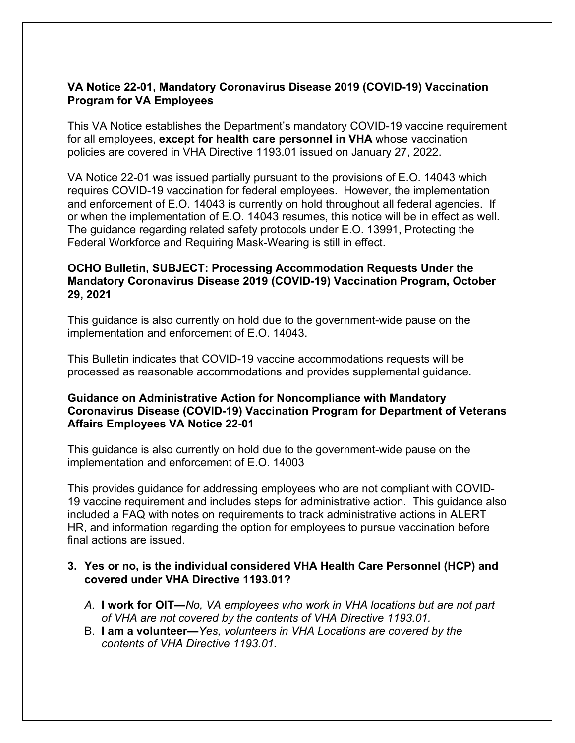## **VA Notice 22-01, Mandatory Coronavirus Disease 2019 (COVID-19) Vaccination Program for VA Employees**

This VA Notice establishes the Department's mandatory COVID-19 vaccine requirement for all employees, **except for health care personnel in VHA** whose vaccination policies are covered in VHA Directive 1193.01 issued on January 27, 2022.

VA Notice 22-01 was issued partially pursuant to the provisions of E.O. 14043 which requires COVID-19 vaccination for federal employees. However, the implementation and enforcement of E.O. 14043 is currently on hold throughout all federal agencies. If or when the implementation of E.O. 14043 resumes, this notice will be in effect as well. The guidance regarding related safety protocols under E.O. 13991, Protecting the Federal Workforce and Requiring Mask-Wearing is still in effect.

### **OCHO Bulletin, SUBJECT: Processing Accommodation Requests Under the Mandatory Coronavirus Disease 2019 (COVID-19) Vaccination Program, October 29, 2021**

This guidance is also currently on hold due to the government-wide pause on the implementation and enforcement of E.O. 14043.

This Bulletin indicates that COVID-19 vaccine accommodations requests will be processed as reasonable accommodations and provides supplemental guidance.

## **Guidance on Administrative Action for Noncompliance with Mandatory Coronavirus Disease (COVID-19) Vaccination Program for Department of Veterans Affairs Employees VA Notice 22-01**

This guidance is also currently on hold due to the government-wide pause on the implementation and enforcement of E.O. 14003

This provides guidance for addressing employees who are not compliant with COVID-19 vaccine requirement and includes steps for administrative action. This guidance also included a FAQ with notes on requirements to track administrative actions in ALERT HR, and information regarding the option for employees to pursue vaccination before final actions are issued.

## **3. Yes or no, is the individual considered VHA Health Care Personnel (HCP) and covered under VHA Directive 1193.01?**

- *A.* **I work for OIT—***No, VA employees who work in VHA locations but are not part of VHA are not covered by the contents of VHA Directive 1193.01.*
- B. **I am a volunteer—***Yes, volunteers in VHA Locations are covered by the contents of VHA Directive 1193.01.*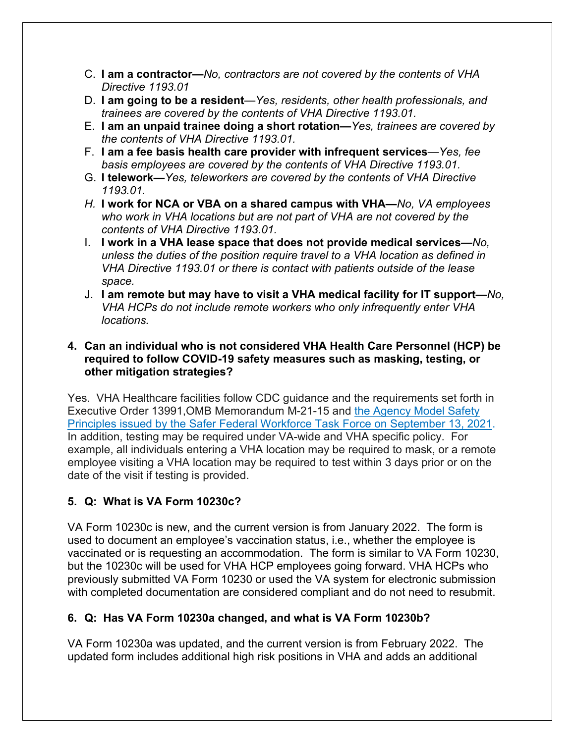- C. **I am a contractor—***No, contractors are not covered by the contents of VHA Directive 1193.01*
- D. **I am going to be a resident***—Yes, residents, other health professionals, and trainees are covered by the contents of VHA Directive 1193.01.*
- E. **I am an unpaid trainee doing a short rotation—***Yes, trainees are covered by the contents of VHA Directive 1193.01.*
- F. **I am a fee basis health care provider with infrequent services**—*Yes, fee basis employees are covered by the contents of VHA Directive 1193.01.*
- G. **I telework—***Yes, teleworkers are covered by the contents of VHA Directive 1193.01.*
- *H.* **I work for NCA or VBA on a shared campus with VHA—***No, VA employees who work in VHA locations but are not part of VHA are not covered by the contents of VHA Directive 1193.01.*
- I. **I work in a VHA lease space that does not provide medical services—***No, unless the duties of the position require travel to a VHA location as defined in VHA Directive 1193.01 or there is contact with patients outside of the lease space.*
- J. **I am remote but may have to visit a VHA medical facility for IT support—***No, VHA HCPs do not include remote workers who only infrequently enter VHA locations.*

## **4. Can an individual who is not considered VHA Health Care Personnel (HCP) be required to follow COVID-19 safety measures such as masking, testing, or other mitigation strategies?**

Yes. VHA Healthcare facilities follow CDC guidance and the requirements set forth in Executive Order 13991,OMB Memorandum M-21-15 and the Agency [Model Safety](https://www.saferfederalworkforce.gov/downloads/updates%20to%20model%20safety%20principles%209.13.21.pdf)  [Principles issued by the Safer Federal Workforce Task Force on September 13, 2021.](https://www.saferfederalworkforce.gov/downloads/updates%20to%20model%20safety%20principles%209.13.21.pdf) In addition, testing may be required under VA-wide and VHA specific policy. For example, all individuals entering a VHA location may be required to mask, or a remote employee visiting a VHA location may be required to test within 3 days prior or on the date of the visit if testing is provided.

# **5. Q: What is VA Form 10230c?**

VA Form 10230c is new, and the current version is from January 2022. The form is used to document an employee's vaccination status, i.e., whether the employee is vaccinated or is requesting an accommodation. The form is similar to VA Form 10230, but the 10230c will be used for VHA HCP employees going forward. VHA HCPs who previously submitted VA Form 10230 or used the VA system for electronic submission with completed documentation are considered compliant and do not need to resubmit.

# **6. Q: Has VA Form 10230a changed, and what is VA Form 10230b?**

VA Form 10230a was updated, and the current version is from February 2022. The updated form includes additional high risk positions in VHA and adds an additional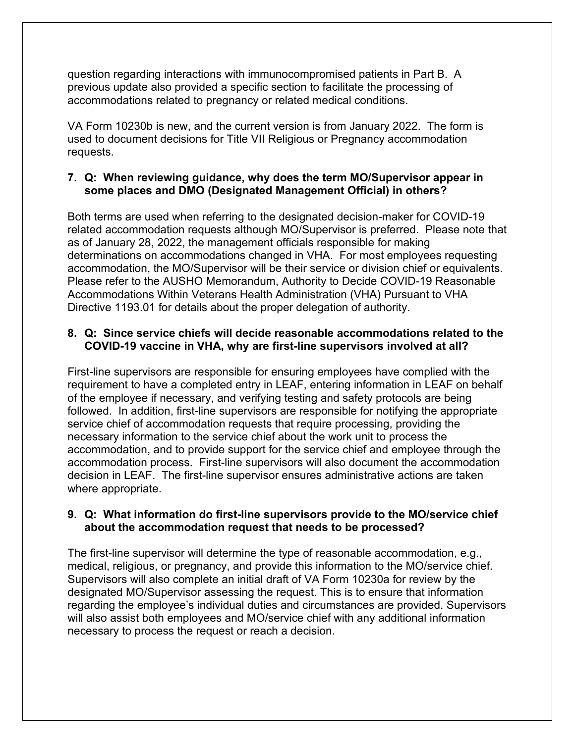question regarding interactions with immunocompromised patients in Part B. A previous update also provided a specific section to facilitate the processing of accommodations related to pregnancy or related medical conditions.

VA Form 10230b is new, and the current version is from January 2022. The form is used to document decisions for Title VII Religious or Pregnancy accommodation requests.

## **7. Q: When reviewing guidance, why does the term MO/Supervisor appear in some places and DMO (Designated Management Official) in others?**

Both terms are used when referring to the designated decision-maker for COVID-19 related accommodation requests although MO/Supervisor is preferred. Please note that as of January 28, 2022, the management officials responsible for making determinations on accommodations changed in VHA. For most employees requesting accommodation, the MO/Supervisor will be their service or division chief or equivalents. Please refer to the AUSHO Memorandum, Authority to Decide COVID-19 Reasonable Accommodations Within Veterans Health Administration (VHA) Pursuant to VHA Directive 1193.01 for details about the proper delegation of authority.

## **8. Q: Since service chiefs will decide reasonable accommodations related to the COVID-19 vaccine in VHA, why are first-line supervisors involved at all?**

First-line supervisors are responsible for ensuring employees have complied with the requirement to have a completed entry in LEAF, entering information in LEAF on behalf of the employee if necessary, and verifying testing and safety protocols are being followed. In addition, first-line supervisors are responsible for notifying the appropriate service chief of accommodation requests that require processing, providing the necessary information to the service chief about the work unit to process the accommodation, and to provide support for the service chief and employee through the accommodation process. First-line supervisors will also document the accommodation decision in LEAF. The first-line supervisor ensures administrative actions are taken where appropriate.

#### **9. Q: What information do first-line supervisors provide to the MO/service chief about the accommodation request that needs to be processed?**

The first-line supervisor will determine the type of reasonable accommodation, e.g., medical, religious, or pregnancy, and provide this information to the MO/service chief. Supervisors will also complete an initial draft of VA Form 10230a for review by the designated MO/Supervisor assessing the request. This is to ensure that information regarding the employee's individual duties and circumstances are provided. Supervisors will also assist both employees and MO/service chief with any additional information necessary to process the request or reach a decision.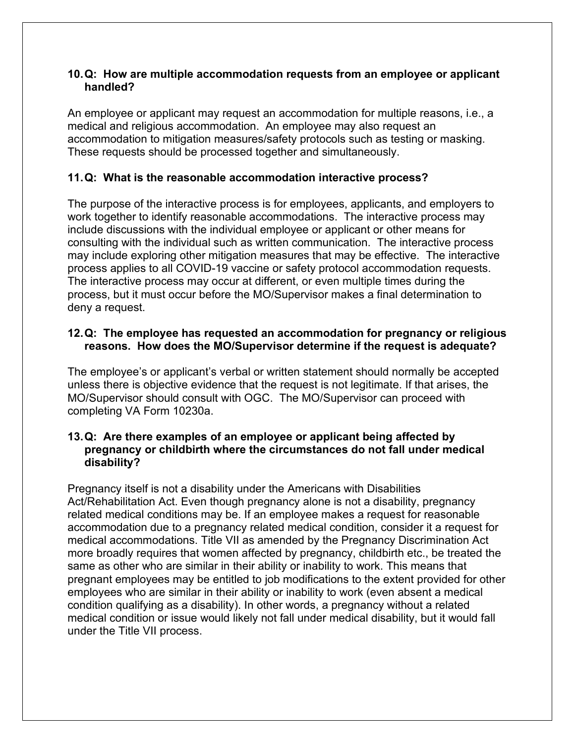#### **10.Q: How are multiple accommodation requests from an employee or applicant handled?**

An employee or applicant may request an accommodation for multiple reasons, i.e., a medical and religious accommodation. An employee may also request an accommodation to mitigation measures/safety protocols such as testing or masking. These requests should be processed together and simultaneously.

#### **11.Q: What is the reasonable accommodation interactive process?**

The purpose of the interactive process is for employees, applicants, and employers to work together to identify reasonable accommodations. The interactive process may include discussions with the individual employee or applicant or other means for consulting with the individual such as written communication. The interactive process may include exploring other mitigation measures that may be effective. The interactive process applies to all COVID-19 vaccine or safety protocol accommodation requests. The interactive process may occur at different, or even multiple times during the process, but it must occur before the MO/Supervisor makes a final determination to deny a request.

#### **12.Q: The employee has requested an accommodation for pregnancy or religious reasons. How does the MO/Supervisor determine if the request is adequate?**

The employee's or applicant's verbal or written statement should normally be accepted unless there is objective evidence that the request is not legitimate. If that arises, the MO/Supervisor should consult with OGC. The MO/Supervisor can proceed with completing VA Form 10230a.

#### **13.Q: Are there examples of an employee or applicant being affected by pregnancy or childbirth where the circumstances do not fall under medical disability?**

Pregnancy itself is not a disability under the Americans with Disabilities Act/Rehabilitation Act. Even though pregnancy alone is not a disability, pregnancy related medical conditions may be. If an employee makes a request for reasonable accommodation due to a pregnancy related medical condition, consider it a request for medical accommodations. Title VII as amended by the Pregnancy Discrimination Act more broadly requires that women affected by pregnancy, childbirth etc., be treated the same as other who are similar in their ability or inability to work. This means that pregnant employees may be entitled to job modifications to the extent provided for other employees who are similar in their ability or inability to work (even absent a medical condition qualifying as a disability). In other words, a pregnancy without a related medical condition or issue would likely not fall under medical disability, but it would fall under the Title VII process.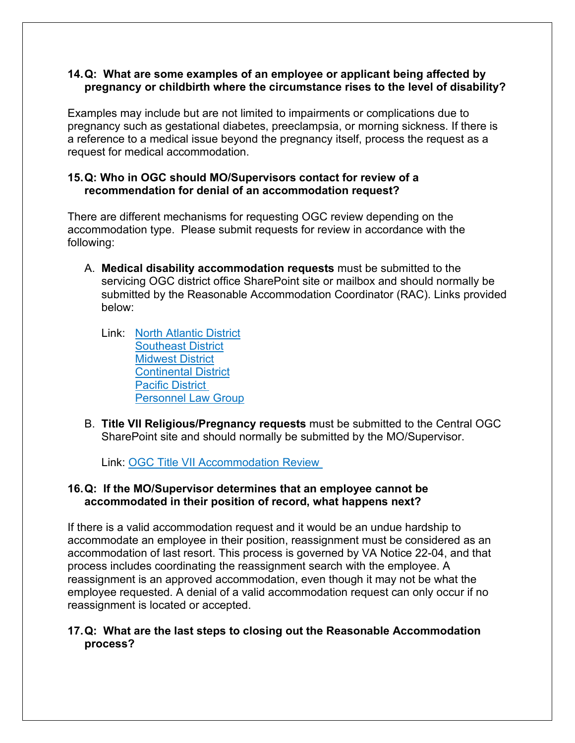#### **14.Q: What are some examples of an employee or applicant being affected by pregnancy or childbirth where the circumstance rises to the level of disability?**

Examples may include but are not limited to impairments or complications due to pregnancy such as gestational diabetes, preeclampsia, or morning sickness. If there is a reference to a medical issue beyond the pregnancy itself, process the request as a request for medical accommodation.

#### **15.Q: Who in OGC should MO/Supervisors contact for review of a recommendation for denial of an accommodation request?**

There are different mechanisms for requesting OGC review depending on the accommodation type. Please submit requests for review in accordance with the following:

- A. **Medical disability accommodation requests** must be submitted to the servicing OGC district office SharePoint site or mailbox and should normally be submitted by the Reasonable Accommodation Coordinator (RAC). Links provided below:
	- Link: [North Atlantic District](mailto:VAOGCNorthAtlanticDistrictReligiousAccommodationLegalReview@va.gov) [Southeast District](https://gcc02.safelinks.protection.outlook.com/?url=https%3A%2F%2Fdvagov.sharepoint.com%2Fsites%2FOGC-Client%2Foffices%2FSDS%2FSitePages%2FHome.aspx&data=04%7C01%7C%7C6bacec8e8d504d7cd39f08d99309a748%7Ce95f1b23abaf45ee821db7ab251ab3bf%7C0%7C0%7C637702491929929858%7CUnknown%7CTWFpbGZsb3d8eyJWIjoiMC4wLjAwMDAiLCJQIjoiV2luMzIiLCJBTiI6Ik1haWwiLCJXVCI6Mn0%3D%7C1000&sdata=bUrYmteudf8LxdNMzCmePhZ9fSlkW8pkpzSRFjA9AzI%3D&reserved=0) [Midwest District](https://gcc02.safelinks.protection.outlook.com/?url=https%3A%2F%2Fdvagov.sharepoint.com%2Fsites%2FOGC-Client%2Foffices%2FMDW%2FSitePages%2FHome.aspx&data=04%7C01%7C%7C6bacec8e8d504d7cd39f08d99309a748%7Ce95f1b23abaf45ee821db7ab251ab3bf%7C0%7C0%7C637702491929939813%7CUnknown%7CTWFpbGZsb3d8eyJWIjoiMC4wLjAwMDAiLCJQIjoiV2luMzIiLCJBTiI6Ik1haWwiLCJXVCI6Mn0%3D%7C1000&sdata=S2pGtZKqF8ytRyccUdhcLBHoIq2bBnzk%2BxaELvS68%2BA%3D&reserved=0) [Continental District](mailto:OGCContinentalDistrictCOVIDTeam@va.gov) [Pacific District](https://gcc02.safelinks.protection.outlook.com/?url=https%3A%2F%2Fdvagov.sharepoint.com%2Fsites%2FOGC-Client%2Foffices%2FPD%2FSitePages%2FHome.aspx&data=04%7C01%7C%7C6bacec8e8d504d7cd39f08d99309a748%7Ce95f1b23abaf45ee821db7ab251ab3bf%7C0%7C0%7C637702491929939813%7CUnknown%7CTWFpbGZsb3d8eyJWIjoiMC4wLjAwMDAiLCJQIjoiV2luMzIiLCJBTiI6Ik1haWwiLCJXVCI6Mn0%3D%7C1000&sdata=inzSlb0TU%2F3uPAmiLZHsjhNnQOyuBlZlVmohFuEF1tg%3D&reserved=0) [Personnel](https://gcc02.safelinks.protection.outlook.com/?url=https%3A%2F%2Fdvagov.sharepoint.com%2Fsites%2FOGC-Client%2Foffices%2FPD%2FSitePages%2FHome.aspx&data=04%7C01%7C%7C6bacec8e8d504d7cd39f08d99309a748%7Ce95f1b23abaf45ee821db7ab251ab3bf%7C0%7C0%7C637702491929939813%7CUnknown%7CTWFpbGZsb3d8eyJWIjoiMC4wLjAwMDAiLCJQIjoiV2luMzIiLCJBTiI6Ik1haWwiLCJXVCI6Mn0%3D%7C1000&sdata=inzSlb0TU%2F3uPAmiLZHsjhNnQOyuBlZlVmohFuEF1tg%3D&reserved=0) Law Group
- B. **Title VII Religious/Pregnancy requests** must be submitted to the Central OGC SharePoint site and should normally be submitted by the MO/Supervisor.

Link: [OGC Title VII Accommodation](https://dvagov.sharepoint.com/sites/OGC-Client/Lists/COVIDReligiousExemption/NewForm.aspx?OR=Teams-HL&CT=1634651206271) Revie[w](https://dvagov.sharepoint.com/sites/OGC-Client/Lists/COVIDReligiousExemption/NewForm.aspx?OR=Teams-HL&CT=1634651206271)

## **16.Q: If the MO/Supervisor determines that an employee cannot be accommodated in their position of record, what happens next?**

If there is a valid accommodation request and it would be an undue hardship to accommodate an employee in their position, reassignment must be considered as an accommodation of last resort. This process is governed by VA Notice 22-04, and that process includes coordinating the reassignment search with the employee. A reassignment is an approved accommodation, even though it may not be what the employee requested. A denial of a valid accommodation request can only occur if no reassignment is located or accepted.

## **17.Q: What are the last steps to closing out the Reasonable Accommodation process?**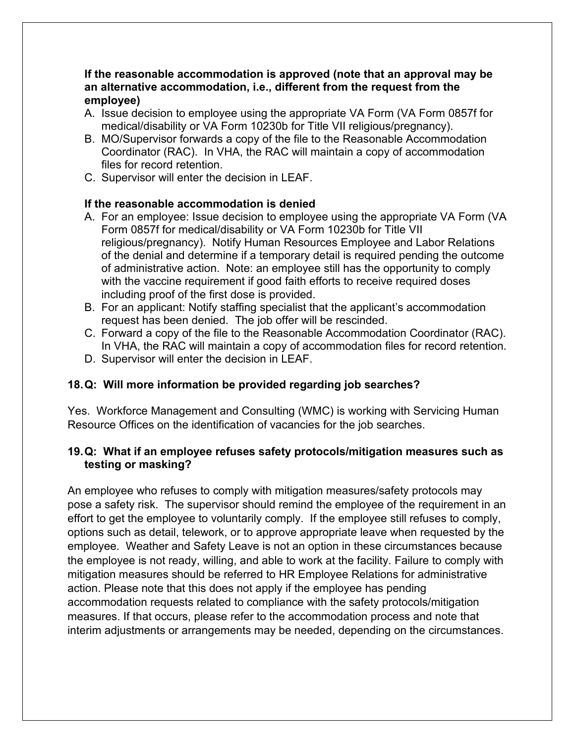#### **If the reasonable accommodation is approved (note that an approval may be an alternative accommodation, i.e., different from the request from the employee)**

- A. Issue decision to employee using the appropriate VA Form (VA Form 0857f for medical/disability or VA Form 10230b for Title VII religious/pregnancy).
- B. MO/Supervisor forwards a copy of the file to the Reasonable Accommodation Coordinator (RAC). In VHA, the RAC will maintain a copy of accommodation files for record retention.
- C. Supervisor will enter the decision in LEAF.

# **If the reasonable accommodation is denied**

- A. For an employee: Issue decision to employee using the appropriate VA Form (VA Form 0857f for medical/disability or VA Form 10230b for Title VII religious/pregnancy). Notify Human Resources Employee and Labor Relations of the denial and determine if a temporary detail is required pending the outcome of administrative action. Note: an employee still has the opportunity to comply with the vaccine requirement if good faith efforts to receive required doses including proof of the first dose is provided.
- B. For an applicant: Notify staffing specialist that the applicant's accommodation request has been denied. The job offer will be rescinded.
- C. Forward a copy of the file to the Reasonable Accommodation Coordinator (RAC). In VHA, the RAC will maintain a copy of accommodation files for record retention.
- D. Supervisor will enter the decision in LEAF.

# **18.Q: Will more information be provided regarding job searches?**

Yes. Workforce Management and Consulting (WMC) is working with Servicing Human Resource Offices on the identification of vacancies for the job searches.

## **19.Q: What if an employee refuses safety protocols/mitigation measures such as testing or masking?**

An employee who refuses to comply with mitigation measures/safety protocols may pose a safety risk. The supervisor should remind the employee of the requirement in an effort to get the employee to voluntarily comply. If the employee still refuses to comply, options such as detail, telework, or to approve appropriate leave when requested by the employee. Weather and Safety Leave is not an option in these circumstances because the employee is not ready, willing, and able to work at the facility. Failure to comply with mitigation measures should be referred to HR Employee Relations for administrative action. Please note that this does not apply if the employee has pending accommodation requests related to compliance with the safety protocols/mitigation measures. If that occurs, please refer to the accommodation process and note that interim adjustments or arrangements may be needed, depending on the circumstances.